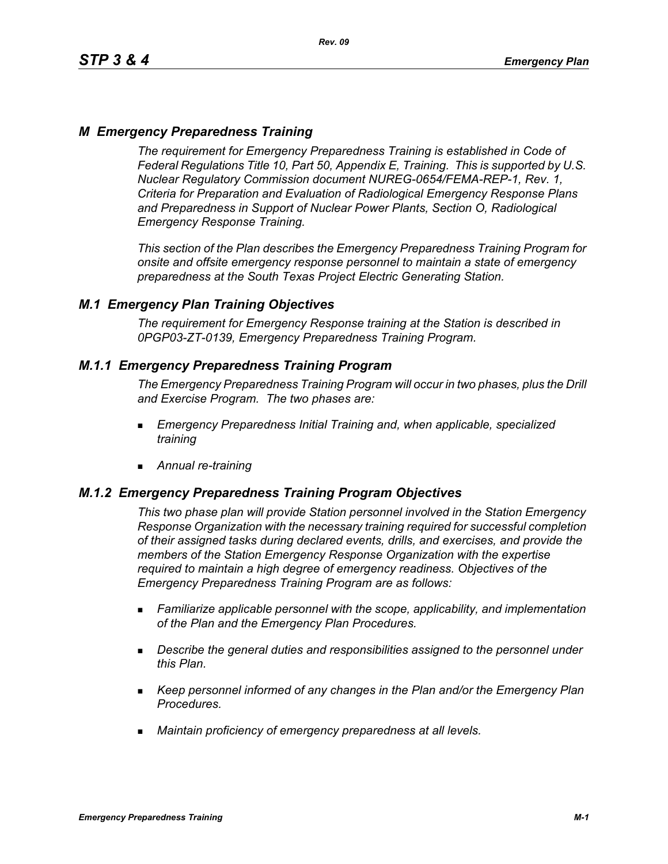# *M Emergency Preparedness Training*

*The requirement for Emergency Preparedness Training is established in Code of Federal Regulations Title 10, Part 50, Appendix E, Training. This is supported by U.S. Nuclear Regulatory Commission document NUREG-0654/FEMA-REP-1, Rev. 1, Criteria for Preparation and Evaluation of Radiological Emergency Response Plans and Preparedness in Support of Nuclear Power Plants, Section O, Radiological Emergency Response Training.*

*This section of the Plan describes the Emergency Preparedness Training Program for onsite and offsite emergency response personnel to maintain a state of emergency preparedness at the South Texas Project Electric Generating Station.*

## *M.1 Emergency Plan Training Objectives*

*The requirement for Emergency Response training at the Station is described in 0PGP03-ZT-0139, Emergency Preparedness Training Program.*

## *M.1.1 Emergency Preparedness Training Program*

*The Emergency Preparedness Training Program will occur in two phases, plus the Drill and Exercise Program. The two phases are:*

- *Emergency Preparedness Initial Training and, when applicable, specialized training*
- *Annual re-training*

## *M.1.2 Emergency Preparedness Training Program Objectives*

*This two phase plan will provide Station personnel involved in the Station Emergency Response Organization with the necessary training required for successful completion of their assigned tasks during declared events, drills, and exercises, and provide the members of the Station Emergency Response Organization with the expertise required to maintain a high degree of emergency readiness. Objectives of the Emergency Preparedness Training Program are as follows:*

- *Familiarize applicable personnel with the scope, applicability, and implementation of the Plan and the Emergency Plan Procedures.*
- *Describe the general duties and responsibilities assigned to the personnel under this Plan.*
- *Keep personnel informed of any changes in the Plan and/or the Emergency Plan Procedures.*
- *Maintain proficiency of emergency preparedness at all levels.*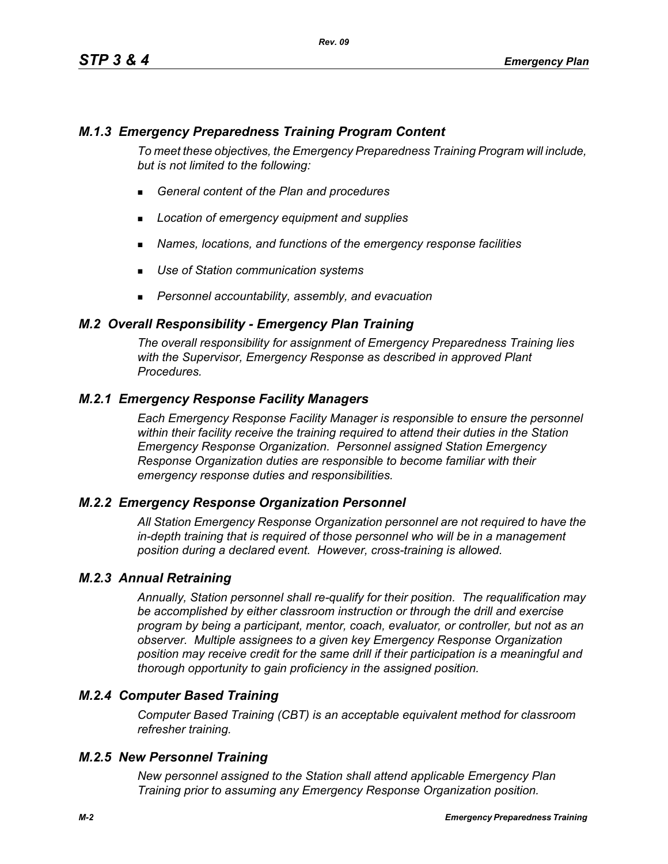# *M.1.3 Emergency Preparedness Training Program Content*

*To meet these objectives, the Emergency Preparedness Training Program will include, but is not limited to the following:*

- *General content of the Plan and procedures*
- *Location of emergency equipment and supplies*
- *Names, locations, and functions of the emergency response facilities*
- *Use of Station communication systems*
- *Personnel accountability, assembly, and evacuation*

### *M.2 Overall Responsibility - Emergency Plan Training*

*The overall responsibility for assignment of Emergency Preparedness Training lies with the Supervisor, Emergency Response as described in approved Plant Procedures.*

## *M.2.1 Emergency Response Facility Managers*

*Each Emergency Response Facility Manager is responsible to ensure the personnel within their facility receive the training required to attend their duties in the Station Emergency Response Organization. Personnel assigned Station Emergency Response Organization duties are responsible to become familiar with their emergency response duties and responsibilities.*

#### *M.2.2 Emergency Response Organization Personnel*

*All Station Emergency Response Organization personnel are not required to have the in-depth training that is required of those personnel who will be in a management position during a declared event. However, cross-training is allowed.*

#### *M.2.3 Annual Retraining*

*Annually, Station personnel shall re-qualify for their position. The requalification may be accomplished by either classroom instruction or through the drill and exercise program by being a participant, mentor, coach, evaluator, or controller, but not as an observer. Multiple assignees to a given key Emergency Response Organization position may receive credit for the same drill if their participation is a meaningful and thorough opportunity to gain proficiency in the assigned position.*

## *M.2.4 Computer Based Training*

*Computer Based Training (CBT) is an acceptable equivalent method for classroom refresher training.*

#### *M.2.5 New Personnel Training*

*New personnel assigned to the Station shall attend applicable Emergency Plan Training prior to assuming any Emergency Response Organization position.*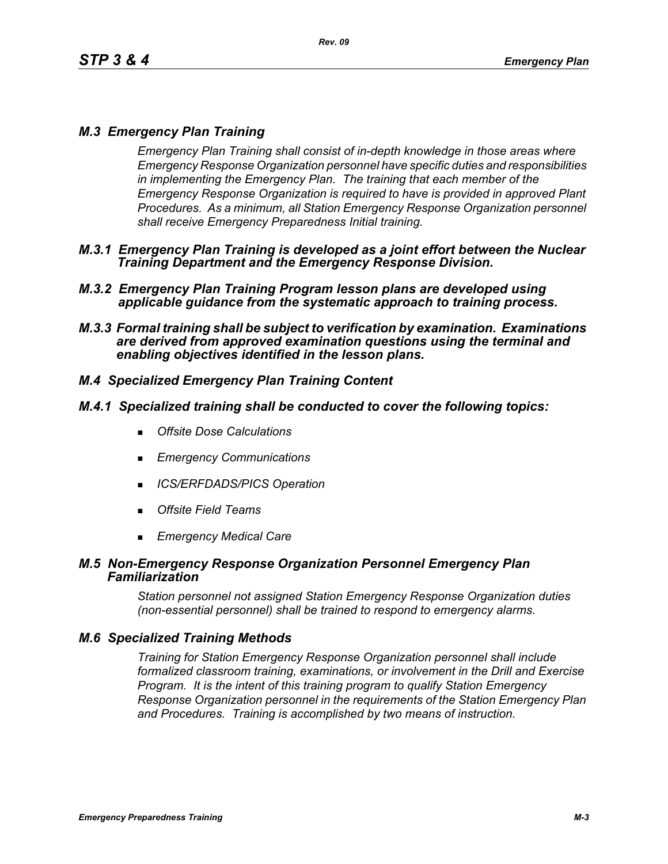# *M.3 Emergency Plan Training*

*Emergency Plan Training shall consist of in-depth knowledge in those areas where Emergency Response Organization personnel have specific duties and responsibilities in implementing the Emergency Plan. The training that each member of the Emergency Response Organization is required to have is provided in approved Plant Procedures. As a minimum, all Station Emergency Response Organization personnel shall receive Emergency Preparedness Initial training.*

- *M.3.1 Emergency Plan Training is developed as a joint effort between the Nuclear Training Department and the Emergency Response Division.*
- *M.3.2 Emergency Plan Training Program lesson plans are developed using applicable guidance from the systematic approach to training process.*
- *M.3.3 Formal training shall be subject to verification by examination. Examinations are derived from approved examination questions using the terminal and enabling objectives identified in the lesson plans.*

# *M.4 Specialized Emergency Plan Training Content*

## *M.4.1 Specialized training shall be conducted to cover the following topics:*

- *Offsite Dose Calculations*
- *Emergency Communications*
- *ICS/ERFDADS/PICS Operation*
- *Offsite Field Teams*
- *Emergency Medical Care*

#### *M.5 Non-Emergency Response Organization Personnel Emergency Plan Familiarization*

*Station personnel not assigned Station Emergency Response Organization duties (non-essential personnel) shall be trained to respond to emergency alarms.*

## *M.6 Specialized Training Methods*

*Training for Station Emergency Response Organization personnel shall include formalized classroom training, examinations, or involvement in the Drill and Exercise Program. It is the intent of this training program to qualify Station Emergency Response Organization personnel in the requirements of the Station Emergency Plan and Procedures. Training is accomplished by two means of instruction.*